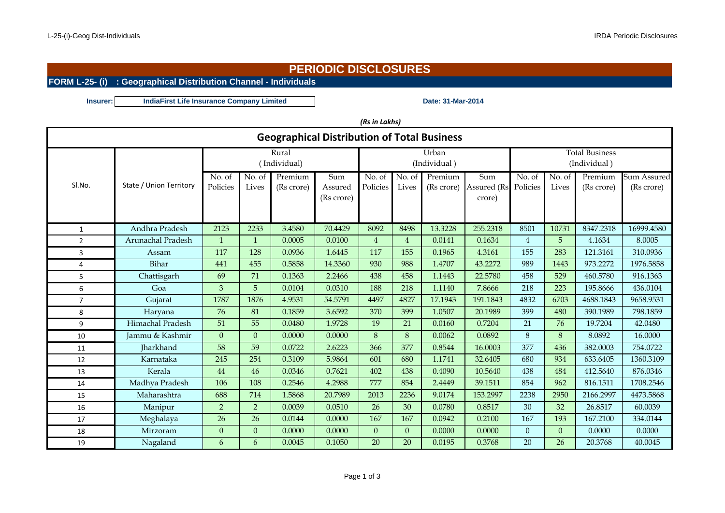# **PERIODIC DISCLOSURES**

### **FORM L-25- (i) : Geographical Distribution Channel - Individuals**

**Insurer: Date: 31-Mar-2014 IndiaFirst Life Insurance Company Limited**

| (Rs in Lakhs)                                      |                         |                |                |            |            |                |                |            |                       |                |                |            |             |
|----------------------------------------------------|-------------------------|----------------|----------------|------------|------------|----------------|----------------|------------|-----------------------|----------------|----------------|------------|-------------|
| <b>Geographical Distribution of Total Business</b> |                         |                |                |            |            |                |                |            |                       |                |                |            |             |
|                                                    |                         |                | Rural          |            |            |                | Urban          |            | <b>Total Business</b> |                |                |            |             |
|                                                    |                         |                | (Individual)   |            |            |                | (Individual)   |            | (Individual)          |                |                |            |             |
|                                                    |                         | No. of         | No. of         | Premium    | Sum        | No. of         | No. of         | Premium    | Sum                   | No. of         | No. of         | Premium    | Sum Assured |
| SI.No.                                             | State / Union Territory | Policies       | Lives          | (Rs crore) | Assured    | Policies       | Lives          | (Rs crore) | Assured (Rs           | Policies       | Lives          | (Rs crore) | (Rs crore)  |
|                                                    |                         |                |                |            | (Rs crore) |                |                |            | crore)                |                |                |            |             |
|                                                    |                         |                |                |            |            |                |                |            |                       |                |                |            |             |
| $\mathbf{1}$                                       | Andhra Pradesh          | 2123           | 2233           | 3.4580     | 70.4429    | 8092           | 8498           | 13.3228    | 255.2318              | 8501           | 10731          | 8347.2318  | 16999.4580  |
| $\overline{2}$                                     | Arunachal Pradesh       | $\mathbf{1}$   | $\mathbf 1$    | 0.0005     | 0.0100     | $\overline{4}$ | 4              | 0.0141     | 0.1634                | $\overline{4}$ | 5              | 4.1634     | 8.0005      |
| 3                                                  | Assam                   | 117            | 128            | 0.0936     | 1.6445     | 117            | 155            | 0.1965     | 4.3161                | 155            | 283            | 121.3161   | 310.0936    |
| 4                                                  | Bihar                   | 441            | 455            | 0.5858     | 14.3360    | 930            | 988            | 1.4707     | 43.2272               | 989            | 1443           | 973.2272   | 1976.5858   |
| 5                                                  | Chattisgarh             | 69             | 71             | 0.1363     | 2.2466     | 438            | 458            | 1.1443     | 22.5780               | 458            | 529            | 460.5780   | 916.1363    |
| 6                                                  | Goa                     | 3              | 5              | 0.0104     | 0.0310     | 188            | 218            | 1.1140     | 7.8666                | 218            | 223            | 195.8666   | 436.0104    |
| $\overline{7}$                                     | Gujarat                 | 1787           | 1876           | 4.9531     | 54.5791    | 4497           | 4827           | 17.1943    | 191.1843              | 4832           | 6703           | 4688.1843  | 9658.9531   |
| 8                                                  | Haryana                 | 76             | 81             | 0.1859     | 3.6592     | 370            | 399            | 1.0507     | 20.1989               | 399            | 480            | 390.1989   | 798.1859    |
| 9                                                  | Himachal Pradesh        | 51             | 55             | 0.0480     | 1.9728     | 19             | 21             | 0.0160     | 0.7204                | 21             | 76             | 19.7204    | 42.0480     |
| 10                                                 | Jammu & Kashmir         | $\Omega$       | $\Omega$       | 0.0000     | 0.0000     | 8              | 8              | 0.0062     | 0.0892                | 8              | 8              | 8.0892     | 16.0000     |
| 11                                                 | <b>Iharkhand</b>        | 58             | 59             | 0.0722     | 2.6223     | 366            | 377            | 0.8544     | 16.0003               | 377            | 436            | 382.0003   | 754.0722    |
| 12                                                 | Karnataka               | 245            | 254            | 0.3109     | 5.9864     | 601            | 680            | 1.1741     | 32.6405               | 680            | 934            | 633.6405   | 1360.3109   |
| 13                                                 | Kerala                  | 44             | 46             | 0.0346     | 0.7621     | 402            | 438            | 0.4090     | 10.5640               | 438            | 484            | 412.5640   | 876.0346    |
| 14                                                 | Madhya Pradesh          | 106            | 108            | 0.2546     | 4.2988     | 777            | 854            | 2.4449     | 39.1511               | 854            | 962            | 816.1511   | 1708.2546   |
| 15                                                 | Maharashtra             | 688            | 714            | 1.5868     | 20.7989    | 2013           | 2236           | 9.0174     | 153.2997              | 2238           | 2950           | 2166.2997  | 4473.5868   |
| 16                                                 | Manipur                 | 2              | $\overline{2}$ | 0.0039     | 0.0510     | 26             | 30             | 0.0780     | 0.8517                | 30             | 32             | 26.8517    | 60.0039     |
| 17                                                 | Meghalaya               | 26             | 26             | 0.0144     | 0.0000     | 167            | 167            | 0.0942     | 0.2100                | 167            | 193            | 167.2100   | 334.0144    |
| 18                                                 | Mirzoram                | $\overline{0}$ | $\Omega$       | 0.0000     | 0.0000     | $\overline{0}$ | $\overline{0}$ | 0.0000     | 0.0000                | $\overline{0}$ | $\overline{0}$ | 0.0000     | 0.0000      |
| 19                                                 | Nagaland                | 6              | 6              | 0.0045     | 0.1050     | 20             | 20             | 0.0195     | 0.3768                | 20             | 26             | 20.3768    | 40.0045     |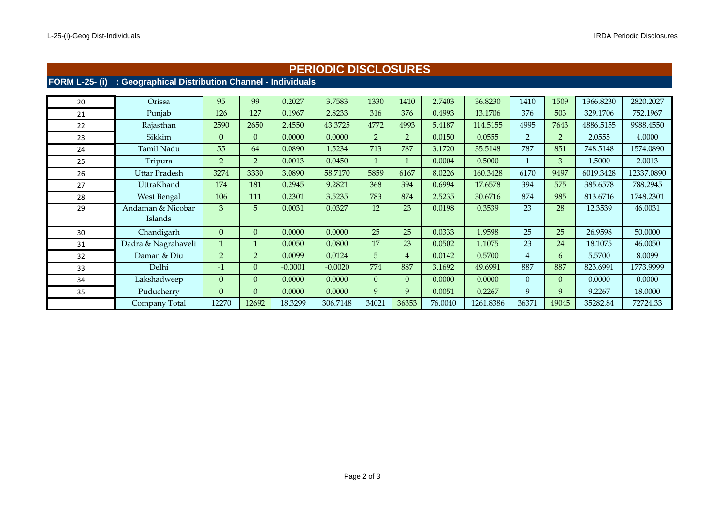#### **PERIODIC DISCLOSURES**

#### **FORM L-25- (i) : Geographical Distribution Channel - Individuals**

| 20 | Orissa                       | 95             | 99             | 0.2027    | 3.7583    | 1330     | 1410           | 2.7403  | 36.8230   | 1410           | 1509     | 1366.8230 | 2820.2027  |
|----|------------------------------|----------------|----------------|-----------|-----------|----------|----------------|---------|-----------|----------------|----------|-----------|------------|
| 21 | Punjab                       | 126            | 127            | 0.1967    | 2.8233    | 316      | 376            | 0.4993  | 13.1706   | 376            | 503      | 329.1706  | 752.1967   |
| 22 | Rajasthan                    | 2590           | 2650           | 2.4550    | 43.3725   | 4772     | 4993           | 5.4187  | 114.5155  | 4995           | 7643     | 4886.5155 | 9988.4550  |
| 23 | Sikkim                       | 0              | 0              | 0.0000    | 0.0000    | 2        | 2              | 0.0150  | 0.0555    | $\overline{2}$ | 2        | 2.0555    | 4.0000     |
| 24 | Tamil Nadu                   | 55             | 64             | 0.0890    | 1.5234    | 713      | 787            | 3.1720  | 35.5148   | 787            | 851      | 748.5148  | 1574.0890  |
| 25 | Tripura                      | $\overline{2}$ | 2              | 0.0013    | 0.0450    |          |                | 0.0004  | 0.5000    |                | 3        | 1.5000    | 2.0013     |
| 26 | Uttar Pradesh                | 3274           | 3330           | 3.0890    | 58.7170   | 5859     | 6167           | 8.0226  | 160.3428  | 6170           | 9497     | 6019.3428 | 12337.0890 |
| 27 | UttraKhand                   | 174            | 181            | 0.2945    | 9.2821    | 368      | 394            | 0.6994  | 17.6578   | 394            | 575      | 385.6578  | 788.2945   |
| 28 | <b>West Bengal</b>           | 106            | 111            | 0.2301    | 3.5235    | 783      | 874            | 2.5235  | 30.6716   | 874            | 985      | 813.6716  | 1748.2301  |
| 29 | Andaman & Nicobar<br>Islands | 3              | 5              | 0.0031    | 0.0327    | 12       | 23             | 0.0198  | 0.3539    | 23             | 28       | 12.3539   | 46.0031    |
|    |                              |                |                |           |           |          |                |         |           |                |          |           |            |
| 30 | Chandigarh                   | 0              | 0              | 0.0000    | 0.0000    | 25       | 25             | 0.0333  | 1.9598    | 25             | 25       | 26.9598   | 50.0000    |
| 31 | Dadra & Nagrahaveli          |                |                | 0.0050    | 0.0800    | 17       | 23             | 0.0502  | 1.1075    | 23             | 24       | 18.1075   | 46.0050    |
| 32 | Daman & Diu                  | $\overline{2}$ | $\overline{2}$ | 0.0099    | 0.0124    | 5        | $\overline{4}$ | 0.0142  | 0.5700    | $\overline{4}$ | 6        | 5.5700    | 8.0099     |
| 33 | Delhi                        | $-1$           | 0              | $-0.0001$ | $-0.0020$ | 774      | 887            | 3.1692  | 49.6991   | 887            | 887      | 823.6991  | 1773.9999  |
| 34 | Lakshadweep                  | 0              | 0              | 0.0000    | 0.0000    | $\Omega$ | $\Omega$       | 0.0000  | 0.0000    | $\theta$       | $\Omega$ | 0.0000    | 0.0000     |
| 35 | Puducherry                   | 0              | 0              | 0.0000    | 0.0000    | 9        | 9              | 0.0051  | 0.2267    | 9              | 9        | 9.2267    | 18.0000    |
|    | Company Total                | 12270          | 12692          | 18.3299   | 306.7148  | 34021    | 36353          | 76.0040 | 1261.8386 | 36371          | 49045    | 35282.84  | 72724.33   |